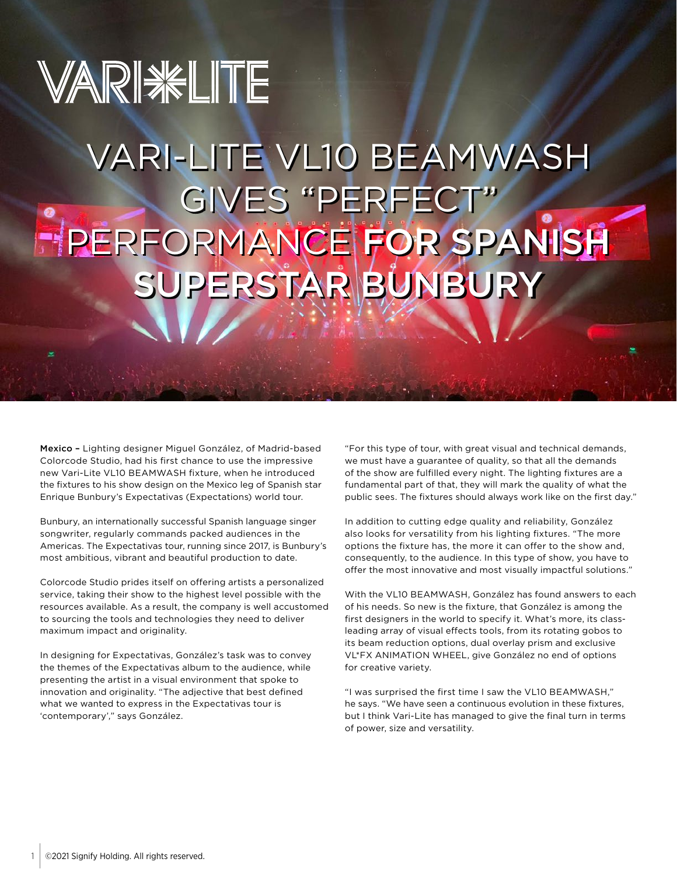## VARIWELITE [VARI-LITE VL10 BEAMWASH](https://www.vari-lite.com/global/news/touring/enrique-bunbury) GIVES "PERFECT" PERFORMANCE FOR SPANISH SUPERSTAR BUNBURY

Mexico – Lighting designer Miguel González, of Madrid-based Colorcode Studio, had his first chance to use the impressive new Vari-Lite VL10 BEAMWASH fixture, when he introduced the fixtures to his show design on the Mexico leg of Spanish star Enrique Bunbury's Expectativas (Expectations) world tour.

Bunbury, an internationally successful Spanish language singer songwriter, regularly commands packed audiences in the Americas. The Expectativas tour, running since 2017, is Bunbury's most ambitious, vibrant and beautiful production to date.

Colorcode Studio prides itself on offering artists a personalized service, taking their show to the highest level possible with the resources available. As a result, the company is well accustomed to sourcing the tools and technologies they need to deliver maximum impact and originality.

In designing for Expectativas, González's task was to convey the themes of the Expectativas album to the audience, while presenting the artist in a visual environment that spoke to innovation and originality. "The adjective that best defined what we wanted to express in the Expectativas tour is 'contemporary'," says González.

"For this type of tour, with great visual and technical demands, we must have a guarantee of quality, so that all the demands of the show are fulfilled every night. The lighting fixtures are a fundamental part of that, they will mark the quality of what the public sees. The fixtures should always work like on the first day."

In addition to cutting edge quality and reliability, González also looks for versatility from his lighting fixtures. "The more options the fixture has, the more it can offer to the show and, consequently, to the audience. In this type of show, you have to offer the most innovative and most visually impactful solutions."

With the VL10 BEAMWASH, González has found answers to each of his needs. So new is the fixture, that González is among the first designers in the world to specify it. What's more, its classleading array of visual effects tools, from its rotating gobos to its beam reduction options, dual overlay prism and exclusive VL\*FX ANIMATION WHEEL, give González no end of options for creative variety.

"I was surprised the first time I saw the VL10 BEAMWASH," he says. "We have seen a continuous evolution in these fixtures, but I think Vari-Lite has managed to give the final turn in terms of power, size and versatility.